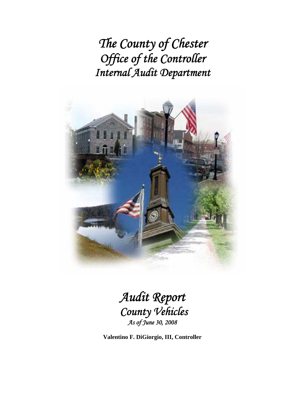*The County of Chester Office of the Controller Internal Audit Department* 



# *Audit Report County Vehicles As of June 30, 2008*

**Valentino F. DiGiorgio, III, Controller**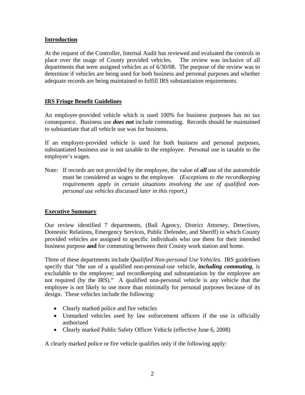#### **Introduction**

At the request of the Controller, Internal Audit has reviewed and evaluated the controls in place over the usage of County provided vehicles. The review was inclusive of all departments that were assigned vehicles as of 6/30/08. The purpose of the review was to determine if vehicles are being used for both business and personal purposes and whether adequate records are being maintained to fulfill IRS substantiation requirements.

#### **IRS Fringe Benefit Guidelines**

An employer-provided vehicle which is used 100% for business purposes has no tax consequence. Business use *does not* include commuting. Records should be maintained to substantiate that all vehicle use was for business.

If an employer-provided vehicle is used for both business and personal purposes, substantiated business use is not taxable to the employee. Personal use is taxable to the employee's wages.

Note: If records are not provided by the employee, the value of *all* use of the automobile must be considered as wages to the employee. *(Exceptions to the recordkeeping requirements apply in certain situations involving the use of qualified nonpersonal use vehicles discussed later in this report.)*

#### **Executive Summary**

Our review identified 7 departments, (Bail Agency, District Attorney, Detectives, Domestic Relations, Emergency Services, Public Defender, and Sheriff) in which County provided vehicles are assigned to specific individuals who use them for their intended business purpose **and** for commuting between their County work station and home.

Three of these departments include *Qualified Non-personal Use Vehicles.* IRS guidelines specify that "the use of a qualified non-personal-use vehicle, *including commuting*, is excludable to the employee; and recordkeeping and substantiation by the employee are not required (by the IRS)." A qualified non-personal vehicle is any vehicle that the employee is not likely to use more than minimally for personal purposes because of its design. These vehicles include the following:

- Clearly marked police and fire vehicles
- Unmarked vehicles used by law enforcement officers if the use is officially authorized
- Clearly marked Public Safety Officer Vehicle (effective June 6, 2008)

A clearly marked police or fire vehicle qualifies only if the following apply: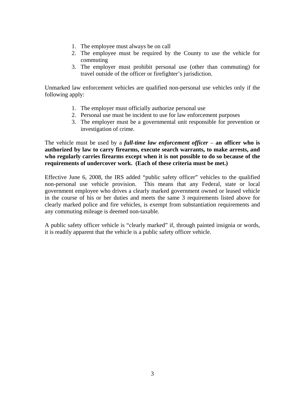- 1. The employee must always be on call
- 2. The employee must be required by the County to use the vehicle for commuting
- 3. The employer must prohibit personal use (other than commuting) for travel outside of the officer or firefighter's jurisdiction.

Unmarked law enforcement vehicles are qualified non-personal use vehicles only if the following apply:

- 1. The employer must officially authorize personal use
- 2. Personal use must be incident to use for law enforcement purposes
- 3. The employer must be a governmental unit responsible for prevention or investigation of crime.

The vehicle must be used by a *full-time law enforcement officer* – **an officer who is authorized by law to carry firearms, execute search warrants, to make arrests, and who regularly carries firearms except when it is not possible to do so because of the requirements of undercover work. (Each of these criteria must be met.)** 

Effective June 6, 2008, the IRS added "public safety officer" vehicles to the qualified non-personal use vehicle provision. This means that any Federal, state or local government employee who drives a clearly marked government owned or leased vehicle in the course of his or her duties and meets the same 3 requirements listed above for clearly marked police and fire vehicles, is exempt from substantiation requirements and any commuting mileage is deemed non-taxable.

A public safety officer vehicle is "clearly marked" if, through painted insignia or words, it is readily apparent that the vehicle is a public safety officer vehicle.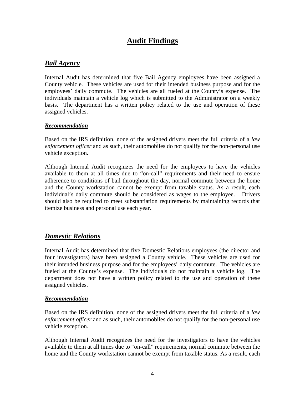# **Audit Findings**

## *Bail Agency*

Internal Audit has determined that five Bail Agency employees have been assigned a County vehicle. These vehicles are used for their intended business purpose and for the employees' daily commute. The vehicles are all fueled at the County's expense. The individuals maintain a vehicle log which is submitted to the Administrator on a weekly basis. The department has a written policy related to the use and operation of these assigned vehicles.

#### *Recommendation*

Based on the IRS definition, none of the assigned drivers meet the full criteria of a *law enforcement officer* and as such, their automobiles do not qualify for the non-personal use vehicle exception.

Although Internal Audit recognizes the need for the employees to have the vehicles available to them at all times due to "on-call" requirements and their need to ensure adherence to conditions of bail throughout the day, normal commute between the home and the County workstation cannot be exempt from taxable status. As a result, each individual's daily commute should be considered as wages to the employee. Drivers should also be required to meet substantiation requirements by maintaining records that itemize business and personal use each year.

#### *Domestic Relations*

Internal Audit has determined that five Domestic Relations employees (the director and four investigators) have been assigned a County vehicle. These vehicles are used for their intended business purpose and for the employees' daily commute. The vehicles are fueled at the County's expense. The individuals do not maintain a vehicle log. The department does not have a written policy related to the use and operation of these assigned vehicles.

#### *Recommendation*

Based on the IRS definition, none of the assigned drivers meet the full criteria of a *law enforcement officer* and as such, their automobiles do not qualify for the non-personal use vehicle exception.

Although Internal Audit recognizes the need for the investigators to have the vehicles available to them at all times due to "on-call" requirements, normal commute between the home and the County workstation cannot be exempt from taxable status. As a result, each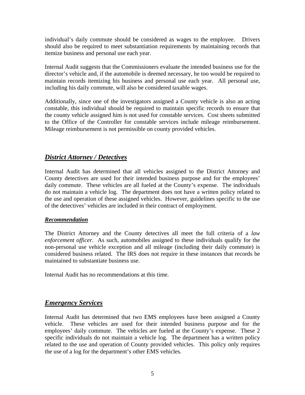individual's daily commute should be considered as wages to the employee. Drivers should also be required to meet substantiation requirements by maintaining records that itemize business and personal use each year.

Internal Audit suggests that the Commissioners evaluate the intended business use for the director's vehicle and, if the automobile is deemed necessary, he too would be required to maintain records itemizing his business and personal use each year. All personal use, including his daily commute, will also be considered taxable wages.

Additionally, since one of the investigators assigned a County vehicle is also an acting constable, this individual should be required to maintain specific records to ensure that the county vehicle assigned him is not used for constable services. Cost sheets submitted to the Office of the Controller for constable services include mileage reimbursement. Mileage reimbursement is not permissible on county provided vehicles.

## *District Attorney / Detectives*

Internal Audit has determined that all vehicles assigned to the District Attorney and County detectives are used for their intended business purpose and for the employees' daily commute. These vehicles are all fueled at the County's expense. The individuals do not maintain a vehicle log. The department does not have a written policy related to the use and operation of these assigned vehicles. However, guidelines specific to the use of the detectives' vehicles are included in their contract of employment.

#### *Recommendation*

The District Attorney and the County detectives all meet the full criteria of a *law enforcement officer*. As such, automobiles assigned to these individuals qualify for the non-personal use vehicle exception and all mileage (including their daily commute) is considered business related. The IRS does not require in these instances that records be maintained to substantiate business use.

Internal Audit has no recommendations at this time.

## *Emergency Services*

Internal Audit has determined that two EMS employees have been assigned a County vehicle. These vehicles are used for their intended business purpose and for the employees' daily commute. The vehicles are fueled at the County's expense. These 2 specific individuals do not maintain a vehicle log. The department has a written policy related to the use and operation of County provided vehicles. This policy only requires the use of a log for the department's other EMS vehicles.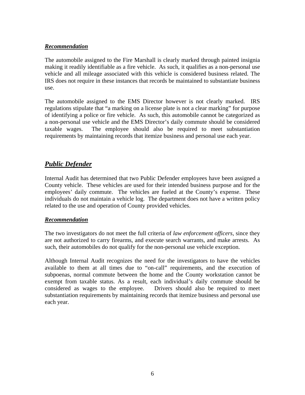#### *Recommendation*

The automobile assigned to the Fire Marshall is clearly marked through painted insignia making it readily identifiable as a fire vehicle. As such, it qualifies as a non-personal use vehicle and all mileage associated with this vehicle is considered business related. The IRS does not require in these instances that records be maintained to substantiate business use.

The automobile assigned to the EMS Director however is not clearly marked. IRS regulations stipulate that "a marking on a license plate is not a clear marking" for purpose of identifying a police or fire vehicle. As such, this automobile cannot be categorized as a non-personal use vehicle and the EMS Director's daily commute should be considered taxable wages. The employee should also be required to meet substantiation requirements by maintaining records that itemize business and personal use each year.

## *Public Defender*

Internal Audit has determined that two Public Defender employees have been assigned a County vehicle. These vehicles are used for their intended business purpose and for the employees' daily commute. The vehicles are fueled at the County's expense. These individuals do not maintain a vehicle log. The department does not have a written policy related to the use and operation of County provided vehicles.

#### *Recommendation*

The two investigators do not meet the full criteria of *law enforcement officers*, since they are not authorized to carry firearms, and execute search warrants, and make arrests. As such, their automobiles do not qualify for the non-personal use vehicle exception.

Although Internal Audit recognizes the need for the investigators to have the vehicles available to them at all times due to "on-call" requirements, and the execution of subpoenas, normal commute between the home and the County workstation cannot be exempt from taxable status. As a result, each individual's daily commute should be considered as wages to the employee. Drivers should also be required to meet substantiation requirements by maintaining records that itemize business and personal use each year.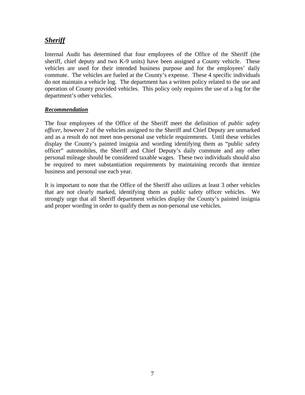## *Sheriff*

Internal Audit has determined that four employees of the Office of the Sheriff (the sheriff, chief deputy and two K-9 units) have been assigned a County vehicle. These vehicles are used for their intended business purpose and for the employees' daily commute. The vehicles are fueled at the County's expense. These 4 specific individuals do not maintain a vehicle log. The department has a written policy related to the use and operation of County provided vehicles. This policy only requires the use of a log for the department's other vehicles.

#### *Recommendation*

The four employees of the Office of the Sheriff meet the definition of *public safety officer*, however 2 of the vehicles assigned to the Sheriff and Chief Deputy are unmarked and as a result do not meet non-personal use vehicle requirements. Until these vehicles display the County's painted insignia and wording identifying them as "public safety officer" automobiles, the Sheriff and Chief Deputy's daily commute and any other personal mileage should be considered taxable wages. These two individuals should also be required to meet substantiation requirements by maintaining records that itemize business and personal use each year.

It is important to note that the Office of the Sheriff also utilizes at least 3 other vehicles that are not clearly marked, identifying them as public safety officer vehicles. We strongly urge that all Sheriff department vehicles display the County's painted insignia and proper wording in order to qualify them as non-personal use vehicles.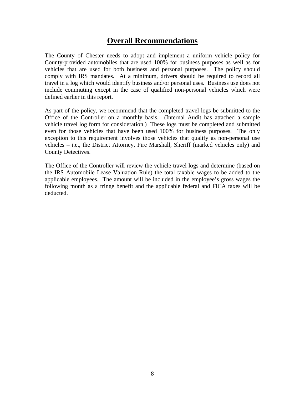## **Overall Recommendations**

The County of Chester needs to adopt and implement a uniform vehicle policy for County-provided automobiles that are used 100% for business purposes as well as for vehicles that are used for both business and personal purposes. The policy should comply with IRS mandates. At a minimum, drivers should be required to record all travel in a log which would identify business and/or personal uses. Business use does not include commuting except in the case of qualified non-personal vehicles which were defined earlier in this report.

As part of the policy, we recommend that the completed travel logs be submitted to the Office of the Controller on a monthly basis. (Internal Audit has attached a sample vehicle travel log form for consideration.) These logs must be completed and submitted even for those vehicles that have been used 100% for business purposes. The only exception to this requirement involves those vehicles that qualify as non-personal use vehicles – i.e., the District Attorney, Fire Marshall, Sheriff (marked vehicles only) and County Detectives.

The Office of the Controller will review the vehicle travel logs and determine (based on the IRS Automobile Lease Valuation Rule) the total taxable wages to be added to the applicable employees. The amount will be included in the employee's gross wages the following month as a fringe benefit and the applicable federal and FICA taxes will be deducted.